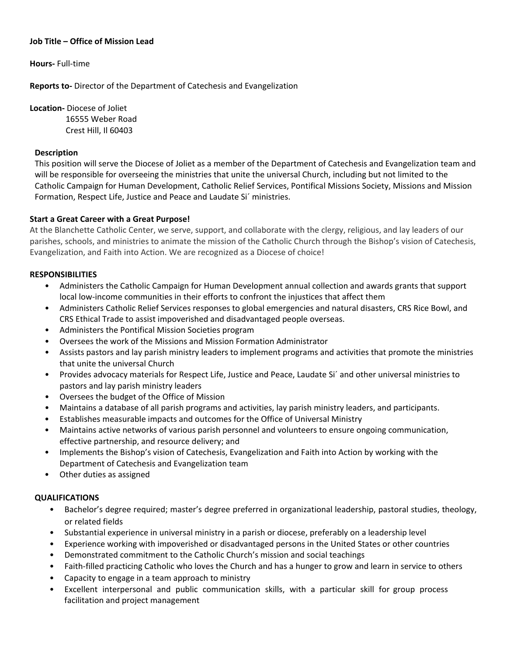### **Job Title – Office of Mission Lead**

**Hours-** Full-time

**Reports to-** Director of the Department of Catechesis and Evangelization

**Location-** Diocese of Joliet

 16555 Weber Road Crest Hill, Il 60403

#### **Description**

This position will serve the Diocese of Joliet as a member of the Department of Catechesis and Evangelization team and will be responsible for overseeing the ministries that unite the universal Church, including but not limited to the Catholic Campaign for Human Development, Catholic Relief Services, Pontifical Missions Society, Missions and Mission Formation, Respect Life, Justice and Peace and Laudate Si´ ministries.

### **Start a Great Career with a Great Purpose!**

At the Blanchette Catholic Center, we serve, support, and collaborate with the clergy, religious, and lay leaders of our parishes, schools, and ministries to animate the mission of the Catholic Church through the Bishop's vision of Catechesis, Evangelization, and Faith into Action. We are recognized as a Diocese of choice!

### **RESPONSIBILITIES**

- Administers the Catholic Campaign for Human Development annual collection and awards grants that support local low-income communities in their efforts to confront the injustices that affect them
- Administers Catholic Relief Services responses to global emergencies and natural disasters, CRS Rice Bowl, and CRS Ethical Trade to assist impoverished and disadvantaged people overseas.
- Administers the Pontifical Mission Societies program
- Oversees the work of the Missions and Mission Formation Administrator
- Assists pastors and lay parish ministry leaders to implement programs and activities that promote the ministries that unite the universal Church
- Provides advocacy materials for Respect Life, Justice and Peace, Laudate Si´ and other universal ministries to pastors and lay parish ministry leaders
- Oversees the budget of the Office of Mission
- Maintains a database of all parish programs and activities, lay parish ministry leaders, and participants.
- Establishes measurable impacts and outcomes for the Office of Universal Ministry
- Maintains active networks of various parish personnel and volunteers to ensure ongoing communication, effective partnership, and resource delivery; and
- Implements the Bishop's vision of Catechesis, Evangelization and Faith into Action by working with the Department of Catechesis and Evangelization team
- Other duties as assigned

### **QUALIFICATIONS**

- Bachelor's degree required; master's degree preferred in organizational leadership, pastoral studies, theology, or related fields
- Substantial experience in universal ministry in a parish or diocese, preferably on a leadership level
- Experience working with impoverished or disadvantaged persons in the United States or other countries
- Demonstrated commitment to the Catholic Church's mission and social teachings
- Faith-filled practicing Catholic who loves the Church and has a hunger to grow and learn in service to others
- Capacity to engage in a team approach to ministry
- Excellent interpersonal and public communication skills, with a particular skill for group process facilitation and project management